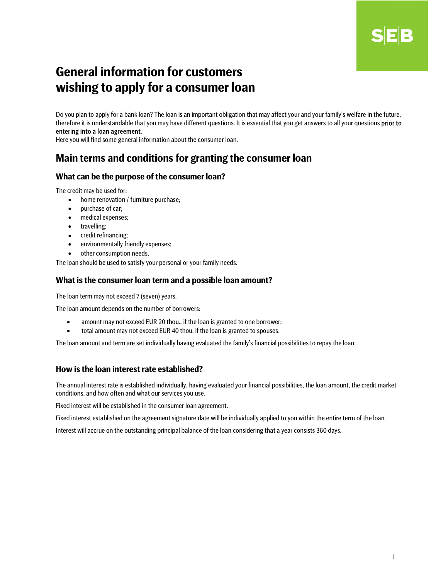# B

## General information for customers wishing to apply for a consumer loan

Do you plan to apply for a bank loan? The loan is an important obligation that may affect your and your family's welfare in the future, therefore it is understandable that you may have different questions. It is essential that you get answers to all your questions **prior to** entering into a loan agreement.

Here you will find some general information about the consumer loan.

## Main terms and conditions for granting the consumer loan

## What can be the purpose of the consumer loan?

The credit may be used for:

- home renovation / furniture purchase;
- purchase of car;
- medical expenses;
- travelling;
- credit refinancing;
- environmentally friendly expenses;
- other consumption needs.

The loan should be used to satisfy your personal or your family needs.

#### What is the consumer loan term and a possible loan amount?

The loan term may not exceed 7 (seven) years.

The loan amount depends on the number of borrowers:

- amount may not exceed EUR 20 thou., if the loan is granted to one borrower;
- total amount may not exceed EUR 40 thou. if the loan is granted to spouses.

The loan amount and term are set individually having evaluated the family's financial possibilities to repay the loan.

## How is the loan interest rate established?

The annual interest rate is established individually, having evaluated your financial possibilities, the loan amount, the credit market conditions, and how often and what our services you use.

Fixed interest will be established in the consumer loan agreement.

Fixed interest established on the agreement signature date will be individually applied to you within the entire term of the loan.

Interest will accrue on the outstanding principal balance of the loan considering that a year consists 360 days.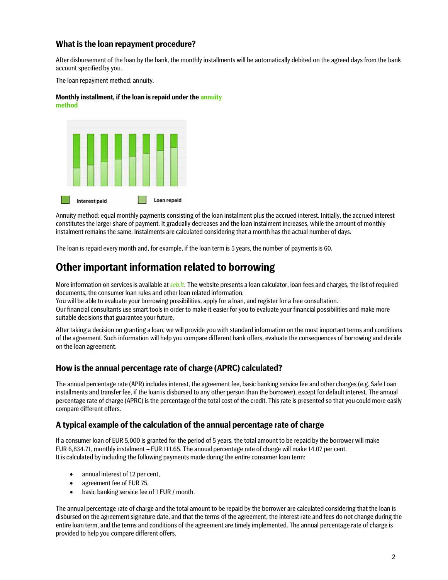## What is the loan repayment procedure?

After disbursement of the loan by the bank, the monthly installments will be automatically debited on the agreed days from the bank account specified by you.

The loan repayment method: annuity.

#### Monthly installment, if the loan is repaid under the annuity method



Annuity method: equal monthly payments consisting of the loan instalment plus the accrued interest. Initially, the accrued interest constitutes the larger share of payment. It gradually decreases and the loan instalment increases, while the amount of monthly instalment remains the same. Instalments are calculated considering that a month has the actual number of days.

The loan is repaid every month and, for example, if the loan term is 5 years, the number of payments is 60.

## Other important information related to borrowing

More information on services is available at seb.lt. The website presents a loan calculator, loan fees and charges, the list of required documents, the consumer loan rules and other loan related information.

You will be able to evaluate your borrowing possibilities, apply for a loan, and register for a free consultation.

Our financial consultants use smart tools in order to make it easier for you to evaluate your financial possibilities and make more suitable decisions that guarantee your future.

After taking a decision on granting a loan, we will provide you with standard information on the most important terms and conditions of the agreement. Such information will help you compare different bank offers, evaluate the consequences of borrowing and decide on the loan agreement.

## How is the annual percentage rate of charge (APRC) calculated?

The annual percentage rate (APR) includes interest, the agreement fee, basic banking service fee and other charges (e.g. Safe Loan installments and transfer fee, if the loan is disbursed to any other person than the borrower), except for default interest. The annual percentage rate of charge (APRC) is the percentage of the total cost of the credit. This rate is presented so that you could more easily compare different offers.

## A typical example of the calculation of the annual percentage rate of charge

If a consumer loan of EUR 5,000 is granted for the period of 5 years, the total amount to be repaid by the borrower will make EUR 6,834.71, monthly instalment - EUR 111.65. The annual percentage rate of charge will make 14.07 per cent. It is calculated by including the following payments made during the entire consumer loan term:

- annual interest of 12 per cent,
- agreement fee of EUR 75,
- basic banking service fee of 1 EUR / month.

The annual percentage rate of charge and the total amount to be repaid by the borrower are calculated considering that the loan is disbursed on the agreement signature date, and that the terms of the agreement, the interest rate and fees do not change during the entire loan term, and the terms and conditions of the agreement are timely implemented. The annual percentage rate of charge is provided to help you compare different offers.